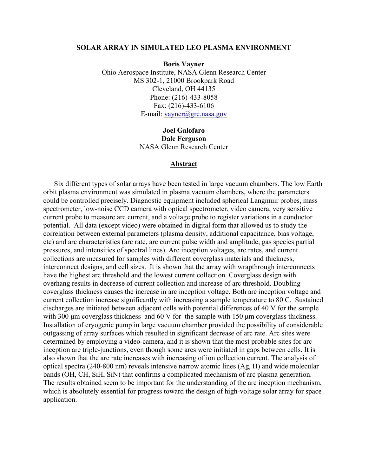#### **SOLAR ARRAY IN SIMULATED LEO PLASMA ENVIRONMENT**

**Boris Vayner**  Ohio Aerospace Institute, NASA Glenn Research Center MS 302-1, 21000 Brookpark Road Cleveland, OH 44135 Phone: (216)-433-8058 Fax: (216)-433-6106 E-mail: [vayner@grc.nasa.gov](mailto:vayner@grc.nasa.gov)

> **Joel Galofaro Dale Ferguson**  NASA Glenn Research Center

#### **Abstract**

Six different types of solar arrays have been tested in large vacuum chambers. The low Earth orbit plasma environment was simulated in plasma vacuum chambers, where the parameters could be controlled precisely. Diagnostic equipment included spherical Langmuir probes, mass spectrometer, low-noise CCD camera with optical spectrometer, video camera, very sensitive current probe to measure arc current, and a voltage probe to register variations in a conductor potential. All data (except video) were obtained in digital form that allowed us to study the correlation between external parameters (plasma density, additional capacitance, bias voltage, etc) and arc characteristics (arc rate, arc current pulse width and amplitude, gas species partial pressures, and intensities of spectral lines). Arc inception voltages, arc rates, and current collections are measured for samples with different coverglass materials and thickness, interconnect designs, and cell sizes. It is shown that the array with wrapthrough interconnects have the highest arc threshold and the lowest current collection. Coverglass design with overhang results in decrease of current collection and increase of arc threshold. Doubling coverglass thickness causes the increase in arc inception voltage. Both arc inception voltage and current collection increase significantly with increasing a sample temperature to 80 C. Sustained discharges are initiated between adjacent cells with potential differences of 40 V for the sample with 300 µm coverglass thickness and 60 V for the sample with 150 µm coverglass thickness. Installation of cryogenic pump in large vacuum chamber provided the possibility of considerable outgassing of array surfaces which resulted in significant decrease of arc rate. Arc sites were determined by employing a video-camera, and it is shown that the most probable sites for arc inception are triple-junctions, even though some arcs were initiated in gaps between cells. It is also shown that the arc rate increases with increasing of ion collection current. The analysis of optical spectra (240-800 nm) reveals intensive narrow atomic lines (Ag, H) and wide molecular bands (OH, CH, SiH, SiN) that confirms a complicated mechanism of arc plasma generation. The results obtained seem to be important for the understanding of the arc inception mechanism, which is absolutely essential for progress toward the design of high-voltage solar array for space application.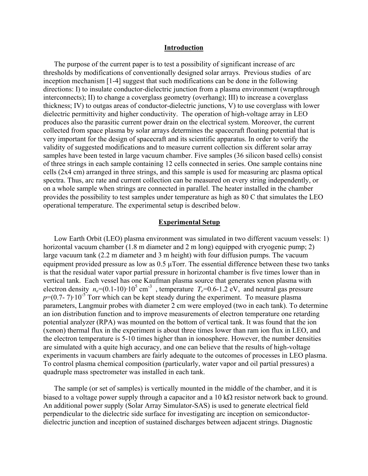### **Introduction**

The purpose of the current paper is to test a possibility of significant increase of arc thresholds by modifications of conventionally designed solar arrays. Previous studies of arc inception mechanism [1-4] suggest that such modifications can be done in the following directions: I) to insulate conductor-dielectric junction from a plasma environment (wrapthrough interconnects); II) to change a coverglass geometry (overhang); III) to increase a coverglass thickness; IV) to outgas areas of conductor-dielectric junctions, V) to use coverglass with lower dielectric permittivity and higher conductivity. The operation of high-voltage array in LEO produces also the parasitic current power drain on the electrical system. Moreover, the current collected from space plasma by solar arrays determines the spacecraft floating potential that is very important for the design of spacecraft and its scientific apparatus. In order to verify the validity of suggested modifications and to measure current collection six different solar array samples have been tested in large vacuum chamber. Five samples (36 silicon based cells) consist of three strings in each sample containing 12 cells connected in series. One sample contains nine cells (2x4 cm) arranged in three strings, and this sample is used for measuring arc plasma optical spectra. Thus, arc rate and current collection can be measured on every string independently, or on a whole sample when strings are connected in parallel. The heater installed in the chamber provides the possibility to test samples under temperature as high as 80 C that simulates the LEO operational temperature. The experimental setup is described below.

### **Experimental Setup**

Low Earth Orbit (LEO) plasma environment was simulated in two different vacuum vessels: 1) horizontal vacuum chamber (1.8 m diameter and 2 m long) equipped with cryogenic pump; 2) large vacuum tank (2.2 m diameter and 3 m height) with four diffusion pumps. The vacuum equipment provided pressure as low as  $0.5 \mu$ Torr. The essential difference between these two tanks is that the residual water vapor partial pressure in horizontal chamber is five times lower than in vertical tank. Each vessel has one Kaufman plasma source that generates xenon plasma with electron density  $n_e = (0.1 - 10) \cdot 10^5$  cm<sup>-3</sup>, temperature  $T_e = 0.6 - 1.2$  eV, and neutral gas pressure  $p=(0.7-7)\cdot10^{-5}$  Torr which can be kept steady during the experiment. To measure plasma parameters, Langmuir probes with diameter 2 cm were employed (two in each tank). To determine an ion distribution function and to improve measurements of electron temperature one retarding potential analyzer (RPA) was mounted on the bottom of vertical tank. It was found that the ion (xenon) thermal flux in the experiment is about three times lower than ram ion flux in LEO, and the electron temperature is 5-10 times higher than in ionosphere. However, the number densities are simulated with a quite high accuracy, and one can believe that the results of high-voltage experiments in vacuum chambers are fairly adequate to the outcomes of processes in LEO plasma. To control plasma chemical composition (particularly, water vapor and oil partial pressures) a quadruple mass spectrometer was installed in each tank.

The sample (or set of samples) is vertically mounted in the middle of the chamber, and it is biased to a voltage power supply through a capacitor and a 10 kΩ resistor network back to ground. An additional power supply (Solar Array Simulator-SAS) is used to generate electrical field perpendicular to the dielectric side surface for investigating arc inception on semiconductordielectric junction and inception of sustained discharges between adjacent strings. Diagnostic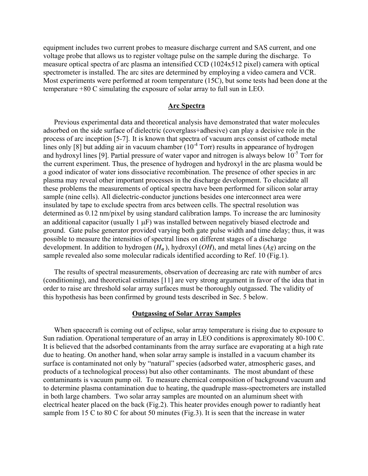equipment includes two current probes to measure discharge current and SAS current, and one voltage probe that allows us to register voltage pulse on the sample during the discharge. To measure optical spectra of arc plasma an intensified CCD (1024x512 pixel) camera with optical spectrometer is installed. The arc sites are determined by employing a video camera and VCR. Most experiments were performed at room temperature (15C), but some tests had been done at the temperature +80 C simulating the exposure of solar array to full sun in LEO.

### **Arc Spectra**

Previous experimental data and theoretical analysis have demonstrated that water molecules adsorbed on the side surface of dielectric (coverglass+adhesive) can play a decisive role in the process of arc inception [5-7]. It is known that spectra of vacuum arcs consist of cathode metal lines only [8] but adding air in vacuum chamber  $(10^{-4} \text{ Torr})$  results in appearance of hydrogen and hydroxyl lines [9]. Partial pressure of water vapor and nitrogen is always below  $10^{-5}$  Torr for the current experiment. Thus, the presence of hydrogen and hydroxyl in the arc plasma would be a good indicator of water ions dissociative recombination. The presence of other species in arc plasma may reveal other important processes in the discharge development. To elucidate all these problems the measurements of optical spectra have been performed for silicon solar array sample (nine cells). All dielectric-conductor junctions besides one interconnect area were insulated by tape to exclude spectra from arcs between cells. The spectral resolution was determined as 0.12 nm/pixel by using standard calibration lamps. To increase the arc luminosity an additional capacitor (usually 1  $\mu$ F) was installed between negatively biased electrode and ground. Gate pulse generator provided varying both gate pulse width and time delay; thus, it was possible to measure the intensities of spectral lines on different stages of a discharge development. In addition to hydrogen (*H<sup>α</sup>* ), hydroxyl (*OH*), and metal lines (*Ag*) arcing on the sample revealed also some molecular radicals identified according to Ref. 10 (Fig.1).

The results of spectral measurements, observation of decreasing arc rate with number of arcs (conditioning), and theoretical estimates [11] are very strong argument in favor of the idea that in order to raise arc threshold solar array surfaces must be thoroughly outgassed. The validity of this hypothesis has been confirmed by ground tests described in Sec. 5 below.

#### **Outgassing of Solar Array Samples**

When spacecraft is coming out of eclipse, solar array temperature is rising due to exposure to Sun radiation. Operational temperature of an array in LEO conditions is approximately 80-100 C. It is believed that the adsorbed contaminants from the array surface are evaporating at a high rate due to heating. On another hand, when solar array sample is installed in a vacuum chamber its surface is contaminated not only by "natural" species (adsorbed water, atmospheric gases, and products of a technological process) but also other contaminants. The most abundant of these contaminants is vacuum pump oil. To measure chemical composition of background vacuum and to determine plasma contamination due to heating, the quadruple mass-spectrometers are installed in both large chambers. Two solar array samples are mounted on an aluminum sheet with electrical heater placed on the back (Fig.2). This heater provides enough power to radiantly heat sample from 15 C to 80 C for about 50 minutes (Fig.3). It is seen that the increase in water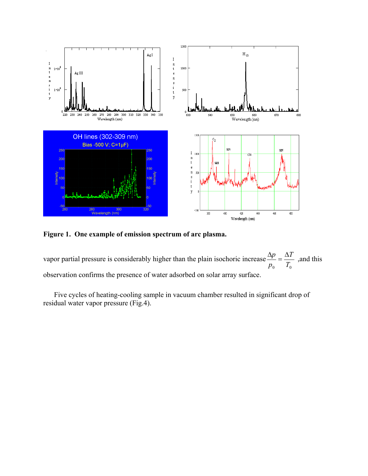

**Figure 1. One example of emission spectrum of arc plasma.** 

vapor partial pressure is considerably higher than the plain isochoric increase  $T_0$ *T p*  $\frac{\Delta p}{\Delta t} = \frac{\Delta T}{T}$ , and this observation confirms the presence of water adsorbed on solar array surface.

Five cycles of heating-cooling sample in vacuum chamber resulted in significant drop of residual water vapor pressure (Fig.4).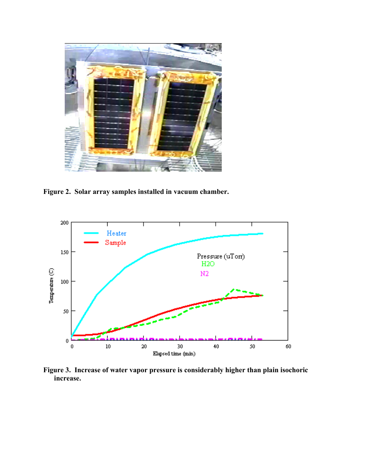

**Figure 2. Solar array samples installed in vacuum chamber.**



**Figure 3. Increase of water vapor pressure is considerably higher than plain isochoric increase.**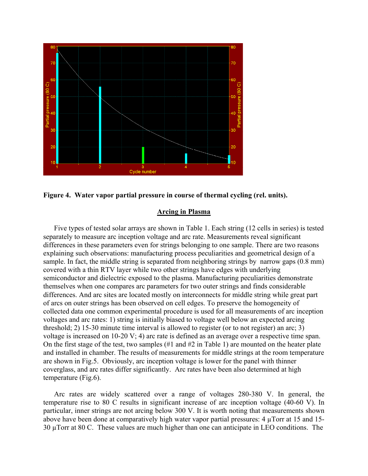



## **Arcing in Plasma**

Five types of tested solar arrays are shown in Table 1. Each string (12 cells in series) is tested separately to measure arc inception voltage and arc rate. Measurements reveal significant differences in these parameters even for strings belonging to one sample. There are two reasons explaining such observations: manufacturing process peculiarities and geometrical design of a sample. In fact, the middle string is separated from neighboring strings by narrow gaps (0.8 mm) covered with a thin RTV layer while two other strings have edges with underlying semiconductor and dielectric exposed to the plasma. Manufacturing peculiarities demonstrate themselves when one compares arc parameters for two outer strings and finds considerable differences. And arc sites are located mostly on interconnects for middle string while great part of arcs on outer strings has been observed on cell edges. To preserve the homogeneity of collected data one common experimental procedure is used for all measurements of arc inception voltages and arc rates: 1) string is initially biased to voltage well below an expected arcing threshold; 2) 15-30 minute time interval is allowed to register (or to not register) an arc; 3) voltage is increased on 10-20 V; 4) arc rate is defined as an average over a respective time span. On the first stage of the test, two samples (#1 and #2 in Table 1) are mounted on the heater plate and installed in chamber. The results of measurements for middle strings at the room temperature are shown in Fig.5. Obviously, arc inception voltage is lower for the panel with thinner coverglass, and arc rates differ significantly. Arc rates have been also determined at high temperature (Fig.6).

Arc rates are widely scattered over a range of voltages 280-380 V. In general, the temperature rise to 80 C results in significant increase of arc inception voltage (40-60 V). In particular, inner strings are not arcing below 300 V. It is worth noting that measurements shown above have been done at comparatively high water vapor partial pressures: 4  $\mu$ Torr at 15 and 15-30 µTorr at 80 C. These values are much higher than one can anticipate in LEO conditions. The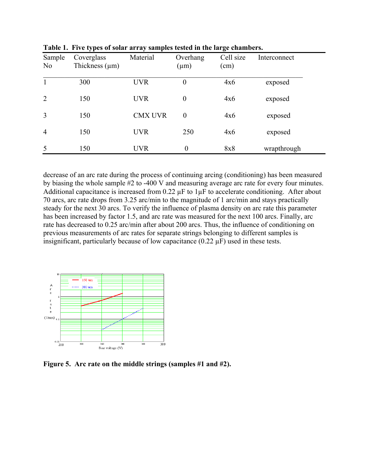| Sample<br>N <sub>o</sub> | Coverglass<br>Thickness $(\mu m)$ | Material       | Overhang<br>$(\mu m)$ | Cell size<br>(cm) | Interconnect |
|--------------------------|-----------------------------------|----------------|-----------------------|-------------------|--------------|
|                          | 300                               | <b>UVR</b>     | $\boldsymbol{0}$      | 4x6               | exposed      |
| 2                        | 150                               | <b>UVR</b>     | $\boldsymbol{0}$      | 4x6               | exposed      |
| $\overline{3}$           | 150                               | <b>CMX UVR</b> | $\theta$              | 4x6               | exposed      |
| $\overline{4}$           | 150                               | <b>UVR</b>     | 250                   | 4x6               | exposed      |
| 5                        | 150                               | <b>UVR</b>     | $\boldsymbol{0}$      | 8x8               | wrapthrough  |

**Table 1. Five types of solar array samples tested in the large chambers.** 

decrease of an arc rate during the process of continuing arcing (conditioning) has been measured by biasing the whole sample #2 to -400 V and measuring average arc rate for every four minutes. Additional capacitance is increased from  $0.22 \mu$ F to  $1 \mu$ F to accelerate conditioning. After about 70 arcs, arc rate drops from 3.25 arc/min to the magnitude of 1 arc/min and stays practically steady for the next 30 arcs. To verify the influence of plasma density on arc rate this parameter has been increased by factor 1.5, and arc rate was measured for the next 100 arcs. Finally, arc rate has decreased to 0.25 arc/min after about 200 arcs. Thus, the influence of conditioning on previous measurements of arc rates for separate strings belonging to different samples is insignificant, particularly because of low capacitance  $(0.22 \mu F)$  used in these tests.



**Figure 5. Arc rate on the middle strings (samples #1 and #2).**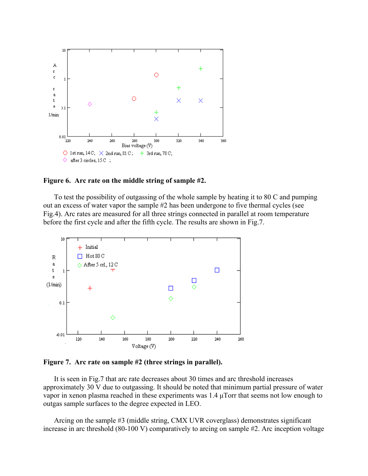

**Figure 6. Arc rate on the middle string of sample #2.** 

To test the possibility of outgassing of the whole sample by heating it to 80 C and pumping out an excess of water vapor the sample #2 has been undergone to five thermal cycles (see Fig.4). Arc rates are measured for all three strings connected in parallel at room temperature before the first cycle and after the fifth cycle. The results are shown in Fig.7.



**Figure 7. Arc rate on sample #2 (three strings in parallel).** 

It is seen in Fig.7 that arc rate decreases about 30 times and arc threshold increases approximately 30 V due to outgassing. It should be noted that minimum partial pressure of water vapor in xenon plasma reached in these experiments was 1.4 µTorr that seems not low enough to outgas sample surfaces to the degree expected in LEO.

Arcing on the sample #3 (middle string, CMX UVR coverglass) demonstrates significant increase in arc threshold (80-100 V) comparatively to arcing on sample #2. Arc inception voltage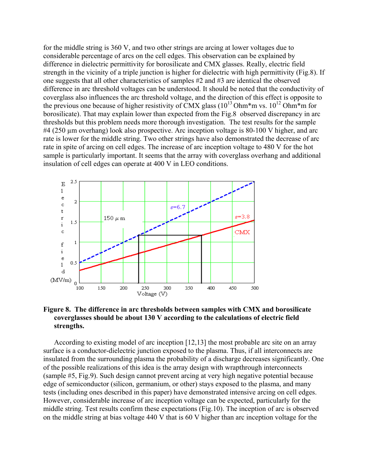for the middle string is 360 V, and two other strings are arcing at lower voltages due to considerable percentage of arcs on the cell edges. This observation can be explained by difference in dielectric permittivity for borosilicate and CMX glasses. Really, electric field strength in the vicinity of a triple junction is higher for dielectric with high permittivity (Fig.8). If one suggests that all other characteristics of samples #2 and #3 are identical the observed difference in arc threshold voltages can be understood. It should be noted that the conductivity of coverglass also influences the arc threshold voltage, and the direction of this effect is opposite to the previous one because of higher resistivity of CMX glass  $(10^{13} \text{Ohm}^* \text{m vs. } 10^{12} \text{Ohm}^* \text{m for }$ borosilicate). That may explain lower than expected from the Fig.8 observed discrepancy in arc thresholds but this problem needs more thorough investigation. The test results for the sample #4 (250 µm overhang) look also prospective. Arc inception voltage is 80-100 V higher, and arc rate is lower for the middle string. Two other strings have also demonstrated the decrease of arc rate in spite of arcing on cell edges. The increase of arc inception voltage to 480 V for the hot sample is particularly important. It seems that the array with coverglass overhang and additional insulation of cell edges can operate at 400 V in LEO conditions.



# **Figure 8. The difference in arc thresholds between samples with CMX and borosilicate coverglasses should be about 130 V according to the calculations of electric field strengths.**

According to existing model of arc inception [12,13] the most probable arc site on an array surface is a conductor-dielectric junction exposed to the plasma. Thus, if all interconnects are insulated from the surrounding plasma the probability of a discharge decreases significantly. One of the possible realizations of this idea is the array design with wrapthrough interconnects (sample #5, Fig.9). Such design cannot prevent arcing at very high negative potential because edge of semiconductor (silicon, germanium, or other) stays exposed to the plasma, and many tests (including ones described in this paper) have demonstrated intensive arcing on cell edges. However, considerable increase of arc inception voltage can be expected, particularly for the middle string. Test results confirm these expectations (Fig.10). The inception of arc is observed on the middle string at bias voltage 440 V that is 60 V higher than arc inception voltage for the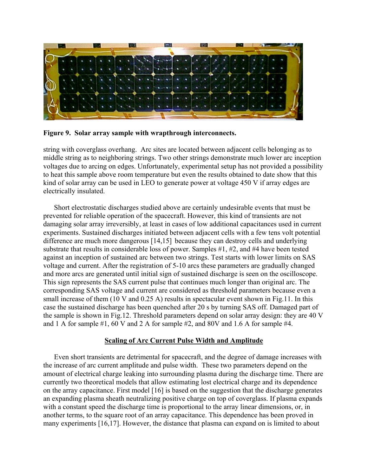

**Figure 9. Solar array sample with wrapthrough interconnects.** 

string with coverglass overhang. Arc sites are located between adjacent cells belonging as to middle string as to neighboring strings. Two other strings demonstrate much lower arc inception voltages due to arcing on edges. Unfortunately, experimental setup has not provided a possibility to heat this sample above room temperature but even the results obtained to date show that this kind of solar array can be used in LEO to generate power at voltage 450 V if array edges are electrically insulated.

Short electrostatic discharges studied above are certainly undesirable events that must be prevented for reliable operation of the spacecraft. However, this kind of transients are not damaging solar array irreversibly, at least in cases of low additional capacitances used in current experiments. Sustained discharges initiated between adjacent cells with a few tens volt potential difference are much more dangerous [14,15] because they can destroy cells and underlying substrate that results in considerable loss of power. Samples #1, #2, and #4 have been tested against an inception of sustained arc between two strings. Test starts with lower limits on SAS voltage and current. After the registration of 5-10 arcs these parameters are gradually changed and more arcs are generated until initial sign of sustained discharge is seen on the oscilloscope. This sign represents the SAS current pulse that continues much longer than original arc. The corresponding SAS voltage and current are considered as threshold parameters because even a small increase of them (10 V and 0.25 A) results in spectacular event shown in Fig.11. In this case the sustained discharge has been quenched after 20 s by turning SAS off. Damaged part of the sample is shown in Fig.12. Threshold parameters depend on solar array design: they are 40 V and 1 A for sample #1, 60 V and 2 A for sample #2, and 80V and 1.6 A for sample #4.

# **Scaling of Arc Current Pulse Width and Amplitude**

Even short transients are detrimental for spacecraft, and the degree of damage increases with the increase of arc current amplitude and pulse width. These two parameters depend on the amount of electrical charge leaking into surrounding plasma during the discharge time. There are currently two theoretical models that allow estimating lost electrical charge and its dependence on the array capacitance. First model [16] is based on the suggestion that the discharge generates an expanding plasma sheath neutralizing positive charge on top of coverglass. If plasma expands with a constant speed the discharge time is proportional to the array linear dimensions, or, in another terms, to the square root of an array capacitance. This dependence has been proved in many experiments [16,17]. However, the distance that plasma can expand on is limited to about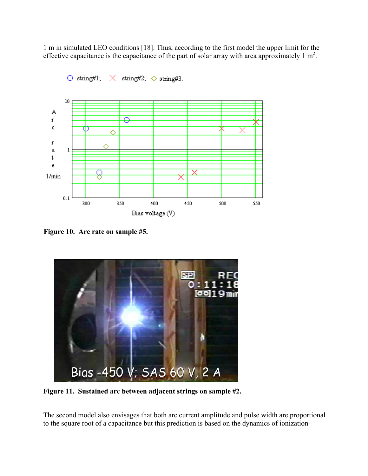1 m in simulated LEO conditions [18]. Thus, according to the first model the upper limit for the effective capacitance is the capacitance of the part of solar array with area approximately 1  $m^2$ .



 $\circ$  string#1;  $\times$  string#2;  $\diamond$  string#3.

**Figure 10. Arc rate on sample #5.** 



**Figure 11. Sustained arc between adjacent strings on sample #2.**

The second model also envisages that both arc current amplitude and pulse width are proportional to the square root of a capacitance but this prediction is based on the dynamics of ionization-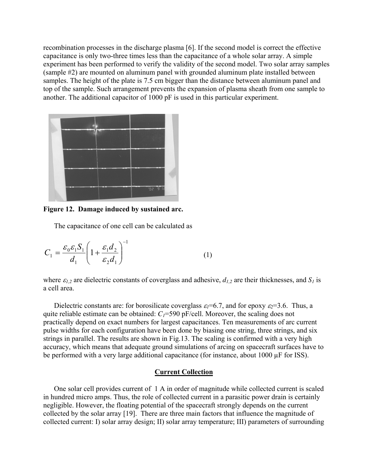recombination processes in the discharge plasma [6]. If the second model is correct the effective capacitance is only two-three times less than the capacitance of a whole solar array. A simple experiment has been performed to verify the validity of the second model. Two solar array samples (sample #2) are mounted on aluminum panel with grounded aluminum plate installed between samples. The height of the plate is 7.5 cm bigger than the distance between aluminum panel and top of the sample. Such arrangement prevents the expansion of plasma sheath from one sample to another. The additional capacitor of 1000 pF is used in this particular experiment.



**Figure 12. Damage induced by sustained arc.** 

The capacitance of one cell can be calculated as

$$
C_1 = \frac{\varepsilon_0 \varepsilon_1 S_1}{d_1} \left( 1 + \frac{\varepsilon_1 d_2}{\varepsilon_2 d_1} \right)^{-1} \tag{1}
$$

where  $\varepsilon_{1,2}$  are dielectric constants of coverglass and adhesive,  $d_{1,2}$  are their thicknesses, and  $S_1$  is a cell area.

Dielectric constants are: for borosilicate coverglass  $\varepsilon_1 = 6.7$ , and for epoxy  $\varepsilon_2 = 3.6$ . Thus, a quite reliable estimate can be obtained:  $C_1$ =590 pF/cell. Moreover, the scaling does not practically depend on exact numbers for largest capacitances. Ten measurements of arc current pulse widths for each configuration have been done by biasing one string, three strings, and six strings in parallel. The results are shown in Fig.13. The scaling is confirmed with a very high accuracy, which means that adequate ground simulations of arcing on spacecraft surfaces have to be performed with a very large additional capacitance (for instance, about 1000 µF for ISS).

### **Current Collection**

One solar cell provides current of 1 A in order of magnitude while collected current is scaled in hundred micro amps. Thus, the role of collected current in a parasitic power drain is certainly negligible. However, the floating potential of the spacecraft strongly depends on the current collected by the solar array [19]. There are three main factors that influence the magnitude of collected current: I) solar array design; II) solar array temperature; III) parameters of surrounding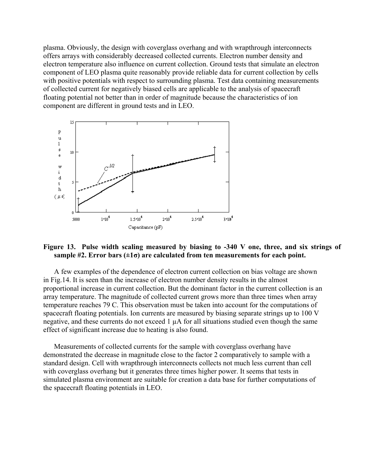plasma. Obviously, the design with coverglass overhang and with wrapthrough interconnects offers arrays with considerably decreased collected currents. Electron number density and electron temperature also influence on current collection. Ground tests that simulate an electron component of LEO plasma quite reasonably provide reliable data for current collection by cells with positive potentials with respect to surrounding plasma. Test data containing measurements of collected current for negatively biased cells are applicable to the analysis of spacecraft floating potential not better than in order of magnitude because the characteristics of ion component are different in ground tests and in LEO.



# **Figure 13. Pulse width scaling measured by biasing to -340 V one, three, and six strings of sample #2. Error bars (±1σ) are calculated from ten measurements for each point.**

A few examples of the dependence of electron current collection on bias voltage are shown in Fig.14. It is seen than the increase of electron number density results in the almost proportional increase in current collection. But the dominant factor in the current collection is an array temperature. The magnitude of collected current grows more than three times when array temperature reaches 79 C. This observation must be taken into account for the computations of spacecraft floating potentials. Ion currents are measured by biasing separate strings up to 100 V negative, and these currents do not exceed 1 µA for all situations studied even though the same effect of significant increase due to heating is also found.

Measurements of collected currents for the sample with coverglass overhang have demonstrated the decrease in magnitude close to the factor 2 comparatively to sample with a standard design. Cell with wrapthrough interconnects collects not much less current than cell with coverglass overhang but it generates three times higher power. It seems that tests in simulated plasma environment are suitable for creation a data base for further computations of the spacecraft floating potentials in LEO.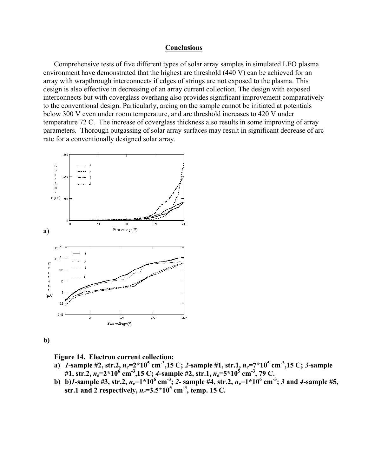## **Conclusions**

Comprehensive tests of five different types of solar array samples in simulated LEO plasma environment have demonstrated that the highest arc threshold (440 V) can be achieved for an array with wrapthrough interconnects if edges of strings are not exposed to the plasma. This design is also effective in decreasing of an array current collection. The design with exposed interconnects but with coverglass overhang also provides significant improvement comparatively to the conventional design. Particularly, arcing on the sample cannot be initiated at potentials below 300 V even under room temperature, and arc threshold increases to 420 V under temperature 72 C. The increase of coverglass thickness also results in some improving of array parameters. Thorough outgassing of solar array surfaces may result in significant decrease of arc rate for a conventionally designed solar array.



**b)** 

**Figure 14. Electron current collection:** 

- **a)** *1***-sample #2, str.2,** *ne***=2\*10<sup>5</sup> cm-3,15 C;** *2***-sample #1, str.1,** *ne***=7\*105 cm-3,15 C;** *3***-sample #1, str.2,** *ne***=2\*10<sup>6</sup> cm-3,15 C;** *4***-sample #2, str.1,** *ne***=5\*10<sup>5</sup> cm-3, 79 C.**
- **b**) b)*l*-sample #3, str.2,  $n_e=1*10^6$  cm<sup>-3</sup>; 2- sample #4, str.2,  $n_e=1*10^6$  cm<sup>-3</sup>; 3 and 4-sample #5, **str.1 and 2 respectively,**  $n_e = 3.5 \times 10^5$  **cm<sup>-3</sup>, temp. 15 C.**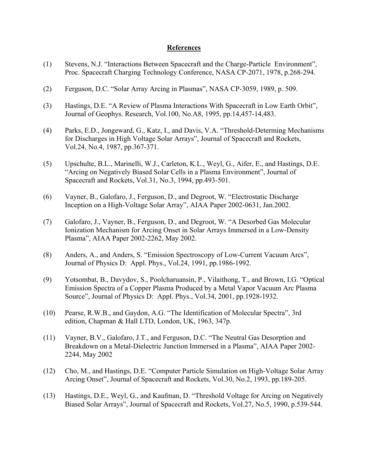## **References**

- (1) Stevens, N.J. "Interactions Between Spacecraft and the Charge-Particle Environment", Proc. Spacecraft Charging Technology Conference, NASA CP-2071, 1978, p.268-294.
- (2) Ferguson, D.C. "Solar Array Arcing in Plasmas", NASA CP-3059, 1989, p. 509.
- (3) Hastings, D.E. "A Review of Plasma Interactions With Spacecraft in Low Earth Orbit", Journal of Geophys. Research, Vol.100, No.A8, 1995, pp.14,457-14,483.
- (4) Parks, E.D., Jongeward, G., Katz, I., and Davis, V.A. "Threshold-Determing Mechanisms for Discharges in High Voltage Solar Arrays", Journal of Spacecraft and Rockets, Vol.24, No.4, 1987, pp.367-371.
- (5) Upschulte, B.L., Marinelli, W.J., Carleton, K.L., Weyl, G., Aifer, E., and Hastings, D.E. "Arcing on Negatively Biased Solar Cells in a Plasma Environment", Journal of Spacecraft and Rockets, Vol.31, No.3, 1994, pp.493-501.
- (6) Vayner, B., Galofaro, J., Ferguson, D., and Degroot, W. "Electrostatic Discharge Inception on a High-Voltage Solar Array", AIAA Paper 2002-0631, Jan.2002.
- (7) Galofaro, J., Vayner, B., Ferguson, D., and Degroot, W. "A Desorbed Gas Molecular Ionization Mechanism for Arcing Onset in Solar Arrays Immersed in a Low-Density Plasma", AIAA Paper 2002-2262, May 2002.
- (8) Anders, A., and Anders, S. "Emission Spectroscopy of Low-Current Vacuum Arcs", Journal of Physics D: Appl. Phys., Vol.24, 1991, pp.1986-1992.
- (9) Yotsombat, B., Davydov, S., Poolcharuansin, P., Vilaithong, T., and Brown, I.G. "Optical Emission Spectra of a Copper Plasma Produced by a Metal Vapor Vacuum Arc Plasma Source", Journal of Physics D: Appl. Phys., Vol.34, 2001, pp.1928-1932.
- (10) Pearse, R.W.B., and Gaydon, A.G. "The Identification of Molecular Spectra", 3rd edition, Chapman & Hall LTD, London, UK, 1963, 347p.
- (11) Vayner, B.V., Galofaro, J.T., and Ferguson, D.C. "The Neutral Gas Desorption and Breakdown on a Metal-Dielectric Junction Immersed in a Plasma", AIAA Paper 2002- 2244, May 2002
- (12) Cho, M., and Hastings, D.E. "Computer Particle Simulation on High-Voltage Solar Array Arcing Onset", Journal of Spacecraft and Rockets, Vol.30, No.2, 1993, pp.189-205.
- (13) Hastings, D.E., Weyl, G., and Kaufman, D. "Threshold Voltage for Arcing on Negatively Biased Solar Arrays", Journal of Spacecraft and Rockets, Vol.27, No.5, 1990, p.539-544.